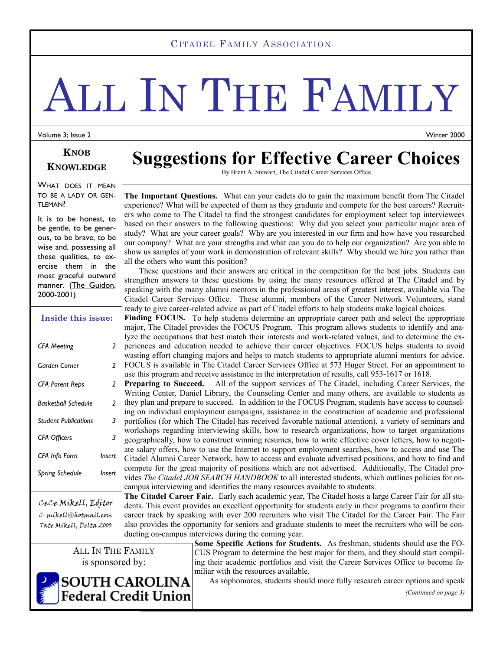#### CITADEL FAMILY ASSOCIATION

# ALL IN THE FAMILY

Volume 3; Issue 2

Winter 2000

#### **KNOB KNOWLEDGE**

WHAT DOES IT MEAN TO BE A LADY OR GEN-TLEMAN?

It is to be honest, to be gentle, to be generous, to be brave, to be wise and, possessing all these qualities, to exercise them in the most graceful outward manner. (The Guidon, 2000-2001)

| Inside this issue:          |        |
|-----------------------------|--------|
| <b>CFA Meeting</b>          | 2      |
| Garden Corner               | 2      |
| <b>CFA Parent Reps</b>      | 2      |
| <b>Basketball Schedule</b>  | 2      |
| <b>Student Publications</b> | 3      |
| <b>CFA Officers</b>         | 3      |
| CFA Info Form               | Insert |
| Spring Schedule             | Insert |
|                             |        |

CeCe Mikell, Editor C\_mikell@hotmail.com Tate Mikell, Delta 2000

> ALL IN THE FAMILY is sponsored by:

**Federal Credit Union** 



By Brent A. Stewart, The Citadel Career Services Office

**The Important Questions.** What can your cadets do to gain the maximum benefit from The Citadel experience? What will be expected of them as they graduate and compete for the best careers? Recruiters who come to The Citadel to find the strongest candidates for employment select top interviewees based on their answers to the following questions: Why did you select your particular major area of study? What are your career goals? Why are you interested in our firm and how have you researched our company? What are your strengths and what can you do to help our organization? Are you able to show us samples of your work in demonstration of relevant skills? Why should we hire you rather than all the others who want this position?

 These questions and their answers are critical in the competition for the best jobs. Students can strengthen answers to these questions by using the many resources offered at The Citadel and by speaking with the many alumni mentors in the professional areas of greatest interest, available via The Citadel Career Services Office. These alumni, members of the Career Network Volunteers, stand ready to give career-related advice as part of Citadel efforts to help students make logical choices.

**Finding FOCUS.** To help students determine an appropriate career path and select the appropriate major, The Citadel provides the FOCUS Program. This program allows students to identify and analyze the occupations that best match their interests and work-related values, and to determine the experiences and education needed to achieve their career objectives. FOCUS helps students to avoid wasting effort changing majors and helps to match students to appropriate alumni mentors for advice. FOCUS is available in The Citadel Career Services Office at 573 Huger Street. For an appointment to use this program and receive assistance in the interpretation of results, call 953-1617 or 1618.

**Preparing to Succeed.** All of the support services of The Citadel, including Career Services, the Writing Center, Daniel Library, the Counseling Center and many others, are available to students as they plan and prepare to succeed.In addition to the FOCUS Program, students have access to counseling on individual employment campaigns, assistance in the construction of academic and professional portfolios (for which The Citadel has received favorable national attention), a variety of seminars and workshops regarding interviewing skills, how to research organizations, how to target organizations geographically, how to construct winning resumes, how to write effective cover letters, how to negotiate salary offers, how to use the Internet to support employment searches, how to access and use The Citadel Alumni Career Network, how to access and evaluate advertised positions, and how to find and compete for the great majority of positions which are not advertised. Additionally, The Citadel provides *The Citadel JOB SEARCH HANDBOOK* to all interested students, which outlines policies for oncampus interviewing and identifies the many resources available to students.

**The Citadel Career Fair.** Early each academic year, The Citadel hosts a large Career Fair for all students. This event provides an excellent opportunity for students early in their programs to confirm their career track by speaking with over 200 recruiters who visit The Citadel for the Career Fair. The Fair also provides the opportunity for seniors and graduate students to meet the recruiters who will be conducting on-campus interviews during the coming year.

**Some Specific Actions for Students.** As freshman, students should use the FO-CUS Program to determine the best major for them, and they should start compiling their academic portfolios and visit the Career Services Office to become familiar with the resources available. **SOUTH CAROLINA** 

As sophomores, students should more fully research career options and speak

*(Continued on page 3)* 

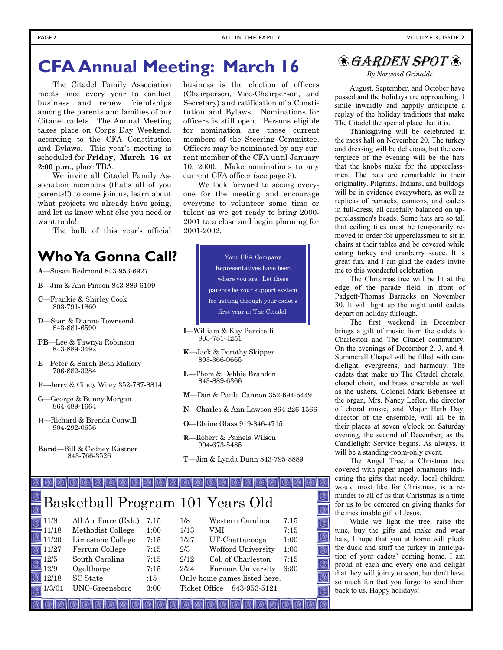# **CFA Annual Meeting: March 16**

 The Citadel Family Association meets once every year to conduct business and renew friendships among the parents and families of our Citadel cadets. The Annual Meeting takes place on Corps Day Weekend, according to the CFA Constitution and Bylaws. This year's meeting is scheduled for **Friday, March 16 at 2:00 p.m.**, place TBA.

 We invite all Citadel Family Association members (that's all of you parents!!) to come join us, learn about what projects we already have going, and let us know what else you need or want to do!

The bulk of this year's official

# **Who Ya Gonna Call?**

- **A**—Susan Redmond 843-953-6927
- **B**—Jim & Ann Pinson 843-889-6109
- **C**—Frankie & Shirley Cook 803-791-1860
- -Stan & Dianne Townsend 843-881-6590
- **PB**—Lee & Tawnya Robinson 843-889-3492
- **E**—Peter & Sarah Beth Mallory 706-882-3284
- **F**—Jerry & Cindy Wiley 352-787-8814
- **G**—George & Bunny Morgan 864-489-1664
- **H**—Richard & Brenda Conwill 904-292-0656
- **Band**—Bill & Cydney Kastner 843-766-3526

business is the election of officers (Chairperson, Vice-Chairperson, and Secretary) and ratification of a Constitution and Bylaws. Nominations for officers is still open. Persons eligible for nomination are those current members of the Steering Committee. Officers may be nominated by any current member of the CFA until January 10, 2000. Make nominations to any current CFA officer (see page 3).

 We look forward to seeing everyone for the meeting and encourage everyone to volunteer some time or talent as we get ready to bring 2000- 2001 to a close and begin planning for 2001-2002.

> Your CFA Company Representatives have been where you are. Let these parents be your support system for getting through your cadet's first year at The Citadel.

- **I**—William & Kay Perricelli 803-781-4251
- **K**—Jack & Dorothy Skipper 803-366-0665
- **L**—Thom & Debbie Brandon 843-889-6366
- **M**—Dan & Paula Cannon 352-694-5449
- **N**—Charles & Ann Lawson 864-226-1566
- **O**—Elaine Glass 919-846-4715
- **R**—Robert & Pamela Wilson 904-673-5485
- **T**—Jim & Lynda Dunn 843-795-8889

# Basketball Program 101 Years Old

| $\sqrt{11/8}$        | All Air Force (Exh.) | 7:15 | 1/8                          | Western Carolina   | 7:15 |
|----------------------|----------------------|------|------------------------------|--------------------|------|
| $\frac{1}{2}11/18$   | Methodist College    | 1:00 | 1/13                         | VMI                | 7:15 |
| <sup>21</sup> 11/20  | Limestone College    | 7:15 | 1/27                         | UT-Chattanooga     | 1:00 |
| $\blacksquare$ 11/27 | Ferrum College       | 7:15 | 2/3                          | Wofford University | 1:00 |
| $\overline{=}12/5$   | South Carolina       | 7:15 | 2/12                         | Col. of Charleston | 7:15 |
| $\Box$ 12/9          | Ogelthorpe           | 7:15 | 2/24                         | Furman University  | 6:30 |
| 12/18                | <b>SC</b> State      | :15  | Only home games listed here. |                    |      |
| 1/3/01               | UNC-Greensboro       | 3:00 | Ticket Office                | 843-953-5121       |      |

 $\circ$   $\circ$   $\circ$   $\circ$   $\circ$   $\circ$   $\circ$ 

## **& GARDEN SPOT &**

*By Norwood Grinalds* 

 August, September, and October have passed and the holidays are approaching. I smile inwardly and happily anticipate a replay of the holiday traditions that make The Citadel the special place that it is.

 Thanksgiving will be celebrated in the mess hall on November 20. The turkey and dressing will be delicious, but the centerpiece of the evening will be the hats that the knobs make for the upperclassmen. The hats are remarkable in their originality. Pilgrims, Indians, and bulldogs will be in evidence everywhere, as well as replicas of barracks, cannons, and cadets in full-dress, all carefully balanced on upperclassmen's heads. Some hats are so tall that ceiling tiles must be temporarily removed in order for upperclassmen to sit in chairs at their tables and be covered while eating turkey and cranberry sauce. It is great fun, and I am glad the cadets invite me to this wonderful celebration.

 The Christmas tree will be lit at the edge of the parade field, in front of Padgett-Thomas Barracks on November 30. It will light up the night until cadets depart on holiday furlough.

 The first weekend in December brings a gift of music from the cadets to Charleston and The Citadel community. On the evenings of December 2, 3, and 4, Summerall Chapel will be filled with candlelight, evergreens, and harmony. The cadets that make up The Citadel chorale, chapel choir, and brass ensemble as well as the ushers, Colonel Mark Bebensee at the organ, Mrs. Nancy Lefler, the director of choral music, and Major Herb Day, director of the ensemble, will all be in their places at seven o'clock on Saturday evening, the second of December, as the Candlelight Service begins. As always, it will be a standing-room-only event.

 The Angel Tree, a Christmas tree covered with paper angel ornaments indicating the gifts that needy, local children would most like for Christmas, is a reminder to all of us that Christmas is a time for us to be centered on giving thanks for the inestimable gift of Jesus.

 While we light the tree, raise the tune, buy the gifts and make and wear hats, I hope that you at home will pluck the duck and stuff the turkey in anticipation of your cadets' coming home. I am proud of each and every one and delight that they will join you soon, but don't have so much fun that you forget to send them back to us. Happy holidays!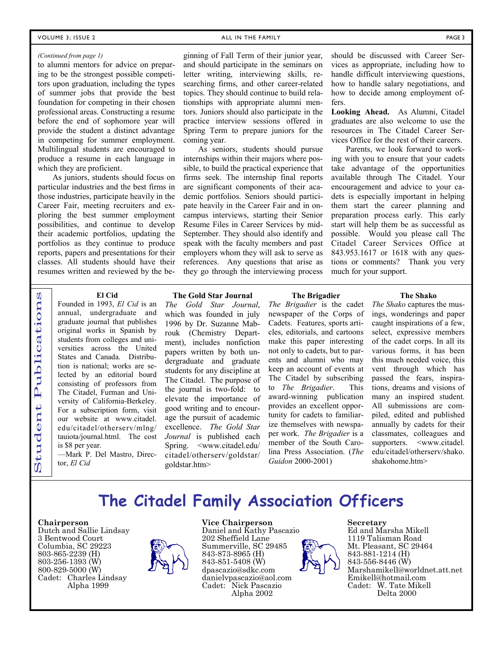#### *(Continued from page 1)*

to alumni mentors for advice on preparing to be the strongest possible competitors upon graduation, including the types of summer jobs that provide the best foundation for competing in their chosen professional areas. Constructing a resume before the end of sophomore year will provide the student a distinct advantage in competing for summer employment. Multilingual students are encouraged to produce a resume in each language in which they are proficient.

 As juniors, students should focus on particular industries and the best firms in those industries, participate heavily in the Career Fair, meeting recruiters and exploring the best summer employment possibilities, and continue to develop their academic portfolios, updating the portfolios as they continue to produce reports, papers and presentations for their classes. All students should have their resumes written and reviewed by the beginning of Fall Term of their junior year, and should participate in the seminars on letter writing, interviewing skills, researching firms, and other career-related topics. They should continue to build relationships with appropriate alumni men-

tors. Juniors should also participate in the practice interview sessions offered in Spring Term to prepare juniors for the fers.

 As seniors, students should pursue internships within their majors where possible, to build the practical experience that firms seek. The internship final reports are significant components of their academic portfolios. Seniors should participate heavily in the Career Fair and in oncampus interviews, starting their Senior Resume Files in Career Services by mid-September. They should also identify and speak with the faculty members and past employers whom they will ask to serve as references. Any questions that arise as they go through the interviewing process

should be discussed with Career Services as appropriate, including how to handle difficult interviewing questions, how to handle salary negotiations, and how to decide among employment of-

**Looking Ahead.** As Alumni, Citadel graduates are also welcome to use the resources in The Citadel Career Services Office for the rest of their careers.

 Parents, we look forward to working with you to ensure that your cadets take advantage of the opportunities available through The Citadel. Your encouragement and advice to your cadets is especially important in helping them start the career planning and preparation process early. This early start will help them be as successful as possible. Would you please call The Citadel Career Services Office at 843.953.1617 or 1618 with any questions or comments? Thank you very much for your support.

#### **El Cid**

Founded in 1993, *El Cid* is an annual, undergraduate and graduate journal that publishes original works in Spanish by students from colleges and universities across the United States and Canada. Distribution is national; works are selected by an editorial board consisting of professors from The Citadel, Furman and University of California-Berkeley. For a subscription form, visit our website at www.citadel. edu/citadel/otherserv/mlng/ tauiota/journal.html. The cost is \$8 per year.

—Mark P. Del Mastro, Director, *El Cid*

#### **The Gold Star Journal**

coming year.

*The Gold Star Journal*, which was founded in july 1996 by Dr. Suzanne Mabrouk (Chemistry Department), includes nonfiction papers written by both undergraduate and graduate students for any discipline at The Citadel. The purpose of the journal is two-fold: to elevate the importance of good writing and to encourage the pursuit of academic excellence. *The Gold Star Journal* is published each Spring. <www.citadel.edu/ citadel/otherserv/goldstar/ goldstar.htm>

#### **The Brigadier**

*The Brigadier* is the cadet newspaper of the Corps of Cadets. Features, sports articles, editorials, and cartoons make this paper interesting not only to cadets, but to parents and alumni who may keep an account of events at The Citadel by subscribing to *The Brigadier*. This award-winning publication provides an excellent opportunity for cadets to familiarize themselves with newspaper work. *The Brigadier* is a member of the South Carolina Press Association. (*The Guidon* 2000-2001)

#### **The Shako**

*The Shako* captures the musings, wonderings and paper caught inspirations of a few, select, expressive members of the cadet corps. In all its various forms, it has been this much needed voice, this vent through which has passed the fears, inspirations, dreams and visions of many an inspired student. All submissions are compiled, edited and published annually by cadets for their classmates, colleagues and supporters. <www.citadel. edu/citadel/otherserv/shako. shakohome.htm>

## **The Citadel Family Association Officers**

#### **Chairperson**

Student Publications

tudent

 $\dot{U}$ 

Publication

 $\boldsymbol{0}$ 

Dutch and Sallie Lindsay 3 Bentwood Court Columbia, SC 29223 803-865-2239 (H) 803-256-1393 (W) 800-829-5000 (W) Cadet: Charles Lindsay Alpha 1999



#### **Vice Chairperson**

Daniel and Kathy Pascazio 202 Sheffield Lane Summerville, SC 29485 843-873-8965 (H) 843-851-5408 (W) dpascazio@sdkc.com danielvpascazio@aol.com Cadet: Nick Pascazio Alpha 2002



#### **Secretary**

Ed and Marsha Mikell 1119 Talisman Road Mt. Pleasant, SC 29464 843-881-1214 (H) 843-556-8446 (W) Marshamikell@worldnet.att.net Emikell@hotmail.com Cadet: W. Tate Mikell Delta 2000